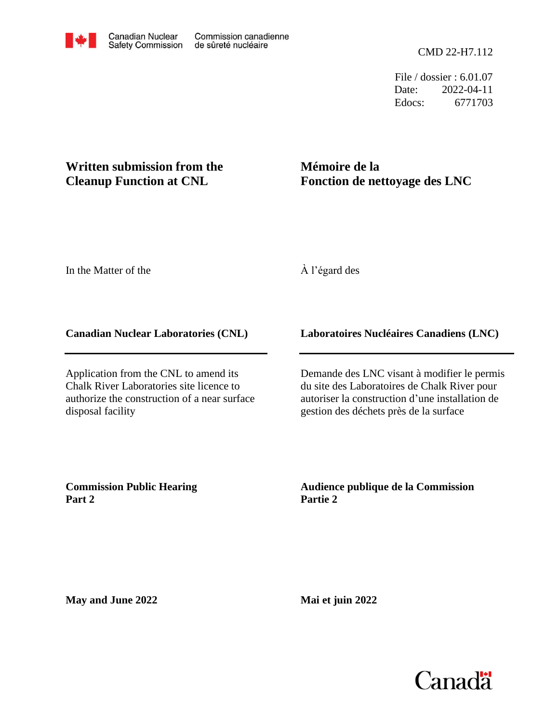File / dossier : 6.01.07 Date: 2022-04-11 Edocs: 6771703

## **Written submission from the Cleanup Function at CNL**

# **Mémoire de la Fonction de nettoyage des LNC**

In the Matter of the

## À l'égard des

### **Canadian Nuclear Laboratories (CNL)**

Application from the CNL to amend its Chalk River Laboratories site licence to authorize the construction of a near surface disposal facility

### **Laboratoires Nucléaires Canadiens (LNC)**

Demande des LNC visant à modifier le permis du site des Laboratoires de Chalk River pour autoriser la construction d'une installation de gestion des déchets près de la surface

**Commission Public Hearing Part 2**

### **Audience publique de la Commission Partie 2**

**May and June 2022**

**Mai et juin 2022**

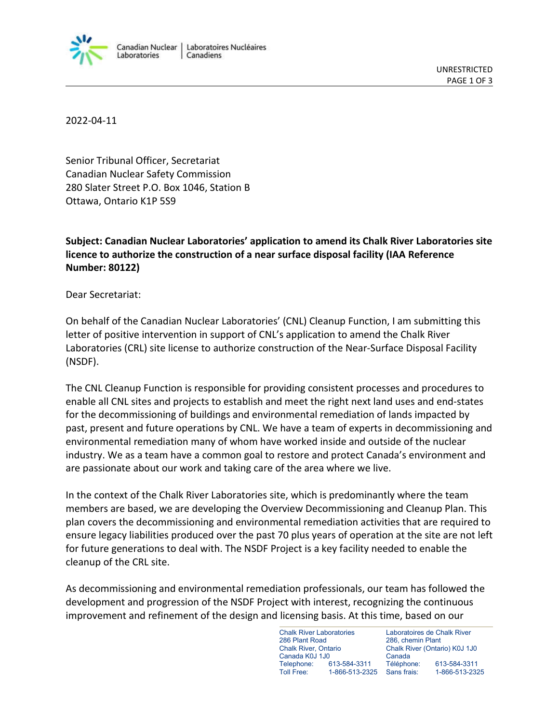

2022-04-11

Senior Tribunal Officer, Secretariat Canadian Nuclear Safety Commission 280 Slater Street P.O. Box 1046, Station B Ottawa, Ontario K1P 5S9

**Subject: Canadian Nuclear Laboratories' application to amend its Chalk River Laboratories site licence to authorize the construction of a near surface disposal facility (IAA Reference Number: 80122)**

Dear Secretariat:

On behalf of the Canadian Nuclear Laboratories' (CNL) Cleanup Function, I am submitting this letter of positive intervention in support of CNL's application to amend the Chalk River Laboratories (CRL) site license to authorize construction of the Near-Surface Disposal Facility (NSDF).

The CNL Cleanup Function is responsible for providing consistent processes and procedures to enable all CNL sites and projects to establish and meet the right next land uses and end-states for the decommissioning of buildings and environmental remediation of lands impacted by past, present and future operations by CNL. We have a team of experts in decommissioning and environmental remediation many of whom have worked inside and outside of the nuclear industry. We as a team have a common goal to restore and protect Canada's environment and are passionate about our work and taking care of the area where we live.

In the context of the Chalk River Laboratories site, which is predominantly where the team members are based, we are developing the Overview Decommissioning and Cleanup Plan. This plan covers the decommissioning and environmental remediation activities that are required to ensure legacy liabilities produced over the past 70 plus years of operation at the site are not left for future generations to deal with. The NSDF Project is a key facility needed to enable the cleanup of the CRL site.

As decommissioning and environmental remediation professionals, our team has followed the development and progression of the NSDF Project with interest, recognizing the continuous improvement and refinement of the design and licensing basis. At this time, based on our

> Chalk River Laboratories 286 Plant Road Chalk River, Ontario Canada K0J 1J0 Telephone: 613-584-3311 Toll Free: 1-866-513-2325 Sans frais:

Laboratoires de Chalk River 286, chemin Plant Chalk River (Ontario) K0J 1J0 Canada Téléphone: 613-584-3311 Sans frais: 1-866-513-2325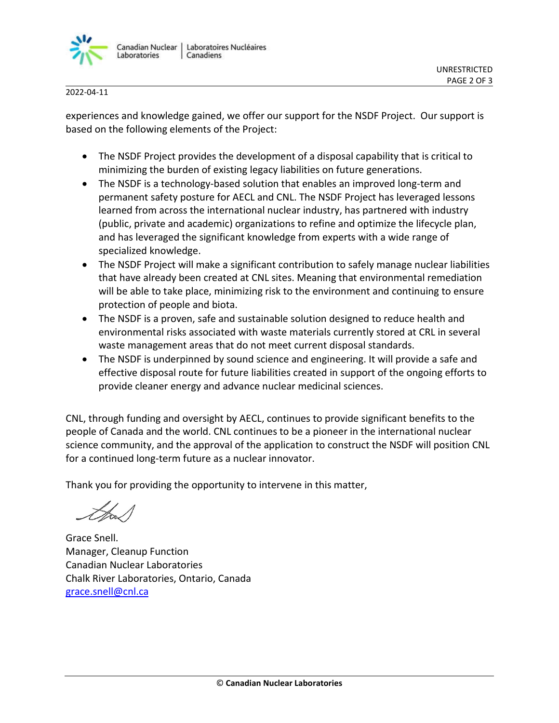

2022-04-11

experiences and knowledge gained, we offer our support for the NSDF Project. Our support is based on the following elements of the Project:

- The NSDF Project provides the development of a disposal capability that is critical to minimizing the burden of existing legacy liabilities on future generations.
- The NSDF is a technology-based solution that enables an improved long-term and permanent safety posture for AECL and CNL. The NSDF Project has leveraged lessons learned from across the international nuclear industry, has partnered with industry (public, private and academic) organizations to refine and optimize the lifecycle plan, and has leveraged the significant knowledge from experts with a wide range of specialized knowledge.
- The NSDF Project will make a significant contribution to safely manage nuclear liabilities that have already been created at CNL sites. Meaning that environmental remediation will be able to take place, minimizing risk to the environment and continuing to ensure protection of people and biota.
- The NSDF is a proven, safe and sustainable solution designed to reduce health and environmental risks associated with waste materials currently stored at CRL in several waste management areas that do not meet current disposal standards.
- The NSDF is underpinned by sound science and engineering. It will provide a safe and effective disposal route for future liabilities created in support of the ongoing efforts to provide cleaner energy and advance nuclear medicinal sciences.

CNL, through funding and oversight by AECL, continues to provide significant benefits to the people of Canada and the world. CNL continues to be a pioneer in the international nuclear science community, and the approval of the application to construct the NSDF will position CNL for a continued long-term future as a nuclear innovator.

Thank you for providing the opportunity to intervene in this matter,

Grace Snell. Manager, Cleanup Function Canadian Nuclear Laboratories Chalk River Laboratories, Ontario, Canada grace.snell@cnl.ca